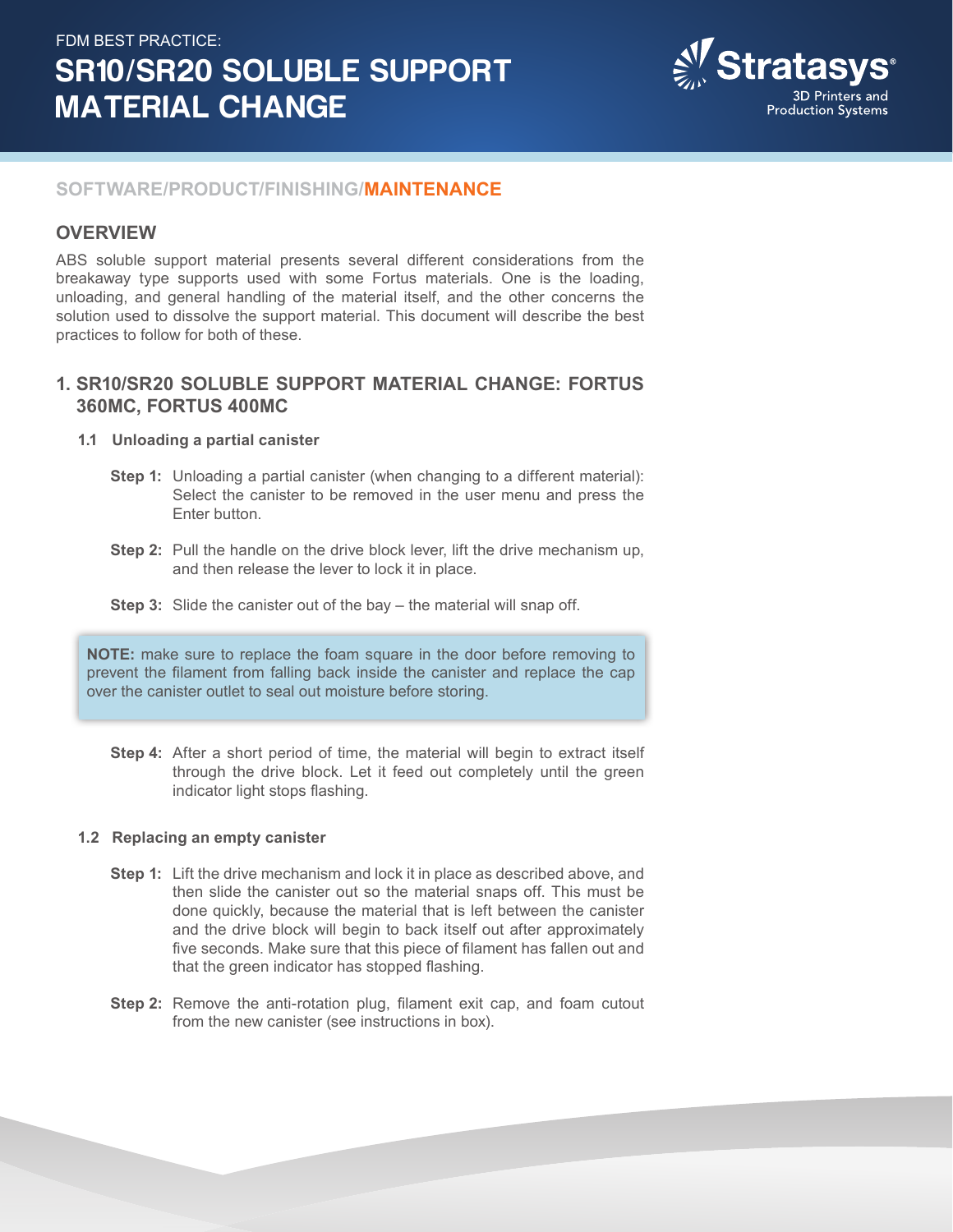# FDM BEST PRACTICE: SR10/SR20 SOLUBLE SUPPORT MATERIAL CHANGE



#### **SOFTWARE/PRODUCT/FINISHING/MAINTENANCE**

#### **OVERVIEW**

ABS soluble support material presents several different considerations from the breakaway type supports used with some Fortus materials. One is the loading, unloading, and general handling of the material itself, and the other concerns the solution used to dissolve the support material. This document will describe the best practices to follow for both of these.

# **1. SR10/SR20 SOLUBLE SUPPORT MATERIAL CHANGE: FORTUS 360MC, FORTUS 400MC**

#### **1.1 Unloading a partial canister**

- **Step 1:** Unloading a partial canister (when changing to a different material): Select the canister to be removed in the user menu and press the Enter button.
- **Step 2:** Pull the handle on the drive block lever, lift the drive mechanism up, and then release the lever to lock it in place.
- **Step 3:** Slide the canister out of the bay the material will snap off.

**NOTE:** make sure to replace the foam square in the door before removing to prevent the filament from falling back inside the canister and replace the cap over the canister outlet to seal out moisture before storing.

**Step 4:** After a short period of time, the material will begin to extract itself through the drive block. Let it feed out completely until the green indicator light stops flashing.

#### **1.2 Replacing an empty canister**

- **Step 1:** Lift the drive mechanism and lock it in place as described above, and then slide the canister out so the material snaps off. This must be done quickly, because the material that is left between the canister and the drive block will begin to back itself out after approximately five seconds. Make sure that this piece of filament has fallen out and that the green indicator has stopped flashing.
- **Step 2:** Remove the anti-rotation plug, filament exit cap, and foam cutout from the new canister (see instructions in box).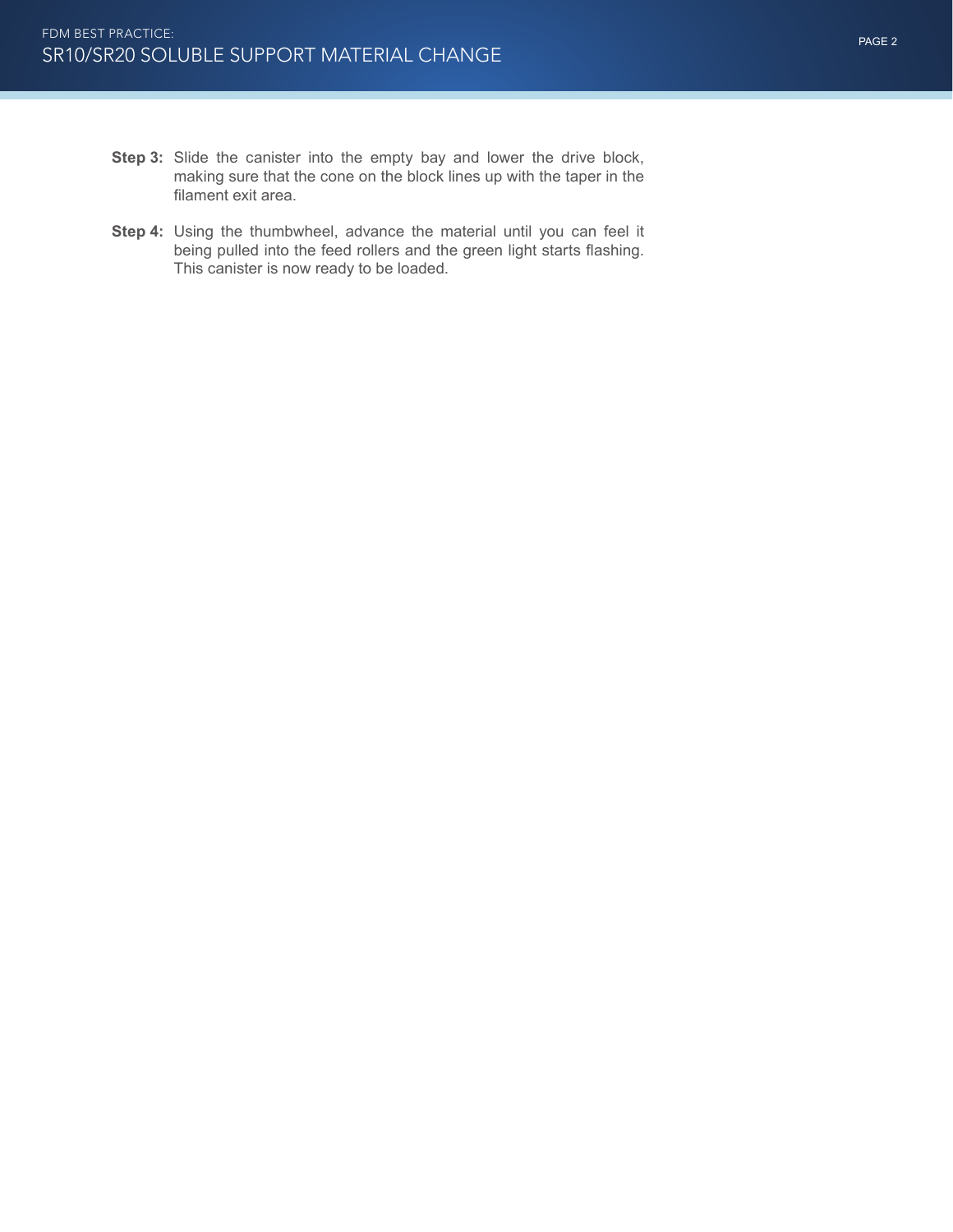- **Step 3:** Slide the canister into the empty bay and lower the drive block, making sure that the cone on the block lines up with the taper in the filament exit area.
- **Step 4:** Using the thumbwheel, advance the material until you can feel it being pulled into the feed rollers and the green light starts flashing. This canister is now ready to be loaded.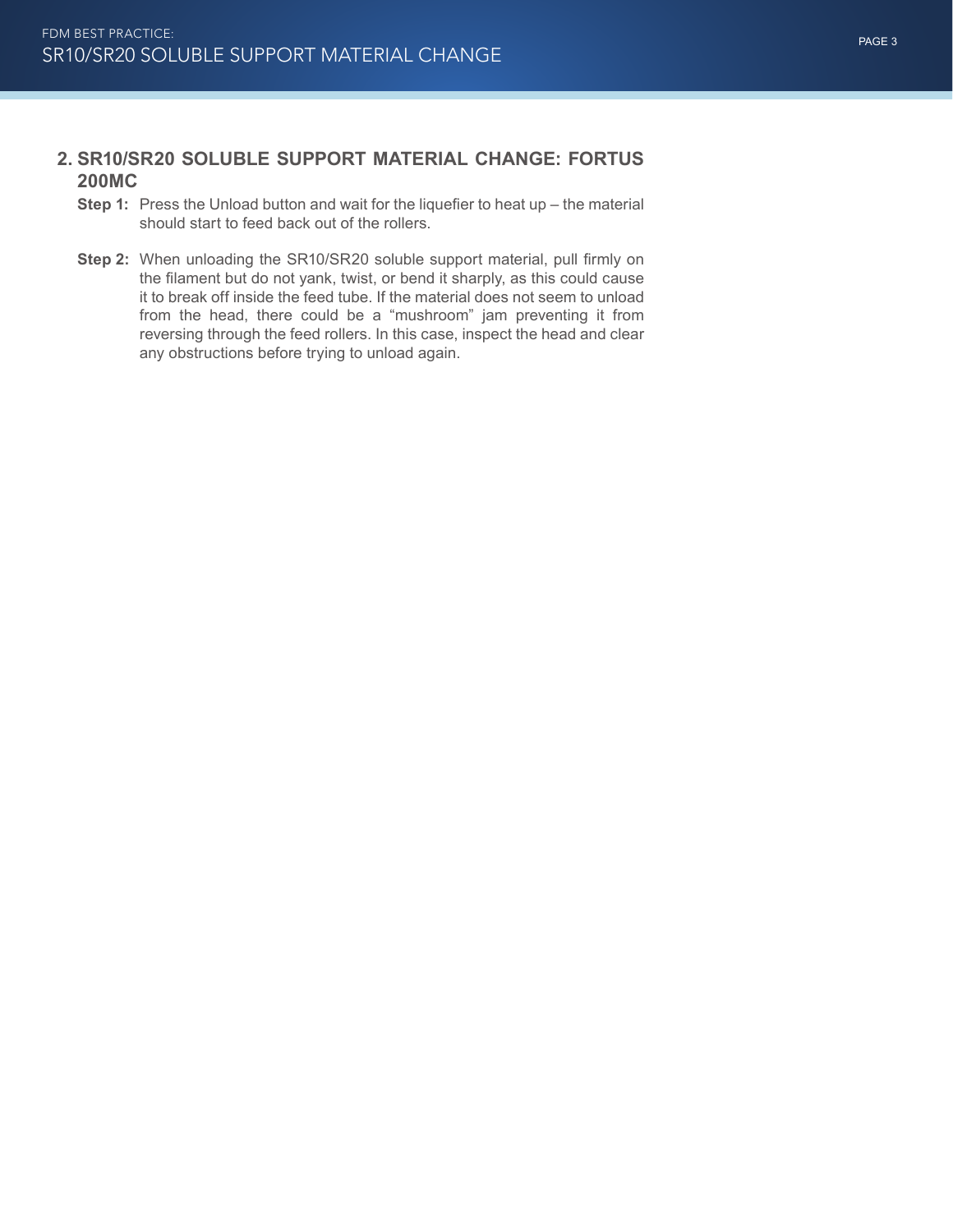## **2. SR10/SR20 SOLUBLE SUPPORT MATERIAL CHANGE: FORTUS 200MC**

- **Step 1:** Press the Unload button and wait for the liquefier to heat up the material should start to feed back out of the rollers.
- **Step 2:** When unloading the SR10/SR20 soluble support material, pull firmly on the filament but do not yank, twist, or bend it sharply, as this could cause it to break off inside the feed tube. If the material does not seem to unload from the head, there could be a "mushroom" jam preventing it from reversing through the feed rollers. In this case, inspect the head and clear any obstructions before trying to unload again.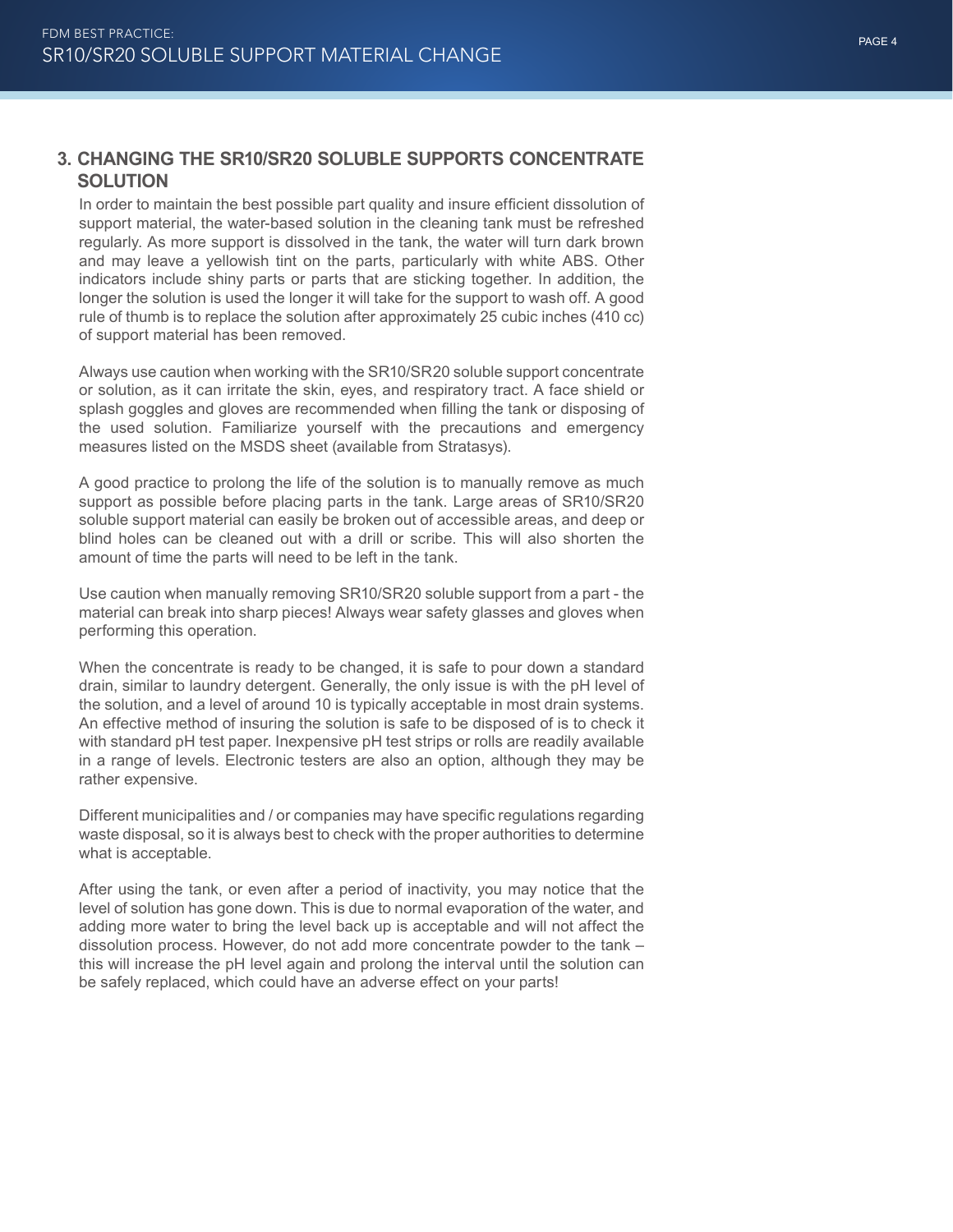# **3. CHANGING THE SR10/SR20 SOLUBLE SUPPORTS CONCENTRATE SOLUTION**

In order to maintain the best possible part quality and insure efficient dissolution of support material, the water-based solution in the cleaning tank must be refreshed regularly. As more support is dissolved in the tank, the water will turn dark brown and may leave a yellowish tint on the parts, particularly with white ABS. Other indicators include shiny parts or parts that are sticking together. In addition, the longer the solution is used the longer it will take for the support to wash off. A good rule of thumb is to replace the solution after approximately 25 cubic inches (410 cc) of support material has been removed.

Always use caution when working with the SR10/SR20 soluble support concentrate or solution, as it can irritate the skin, eyes, and respiratory tract. A face shield or splash goggles and gloves are recommended when filling the tank or disposing of the used solution. Familiarize yourself with the precautions and emergency measures listed on the MSDS sheet (available from Stratasys).

A good practice to prolong the life of the solution is to manually remove as much support as possible before placing parts in the tank. Large areas of SR10/SR20 soluble support material can easily be broken out of accessible areas, and deep or blind holes can be cleaned out with a drill or scribe. This will also shorten the amount of time the parts will need to be left in the tank.

Use caution when manually removing SR10/SR20 soluble support from a part - the material can break into sharp pieces! Always wear safety glasses and gloves when performing this operation.

When the concentrate is ready to be changed, it is safe to pour down a standard drain, similar to laundry detergent. Generally, the only issue is with the pH level of the solution, and a level of around 10 is typically acceptable in most drain systems. An effective method of insuring the solution is safe to be disposed of is to check it with standard pH test paper. Inexpensive pH test strips or rolls are readily available in a range of levels. Electronic testers are also an option, although they may be rather expensive.

Different municipalities and / or companies may have specific regulations regarding waste disposal, so it is always best to check with the proper authorities to determine what is acceptable.

After using the tank, or even after a period of inactivity, you may notice that the level of solution has gone down. This is due to normal evaporation of the water, and adding more water to bring the level back up is acceptable and will not affect the dissolution process. However, do not add more concentrate powder to the tank – this will increase the pH level again and prolong the interval until the solution can be safely replaced, which could have an adverse effect on your parts!